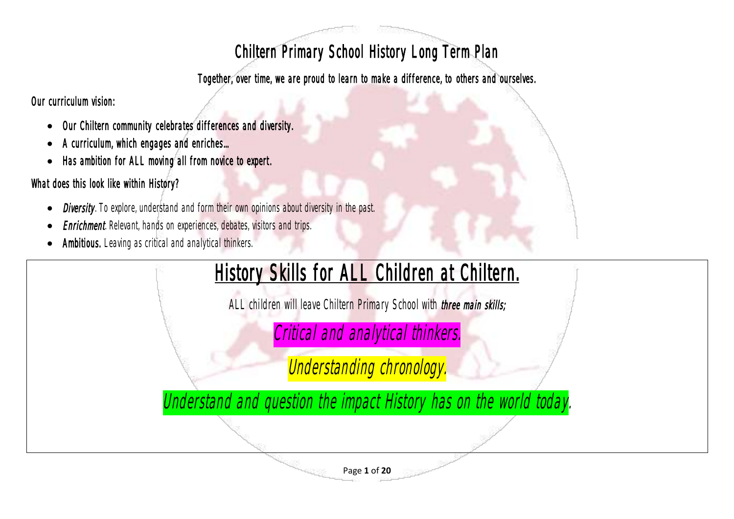## Chiltern Primary School History Long Term Plan

Together, over time, we are proud to learn to make a difference, to others and ourselves.

Our curriculum vision:

- Our Chiltern community celebrates differences and diversity.
- A curriculum, which engages and enriches...
- Has ambition for ALL moving all from novice to expert.

## What does this look like within History?

- **Diversity**. To explore, understand and form their own opinions about diversity in the past.
- **Enrichment**. Relevant, hands on experiences, debates, visitors and trips.
- Ambitious. Leaving as critical and analytical thinkers.

## History Skills for ALL Children at Chiltern.

ALL children will leave Chiltern Primary School with *three main skills;* 

Critical and analytical thinkers.

Understanding chronology.

Understand and question the impact History has on the world today.

Page **1** of **20**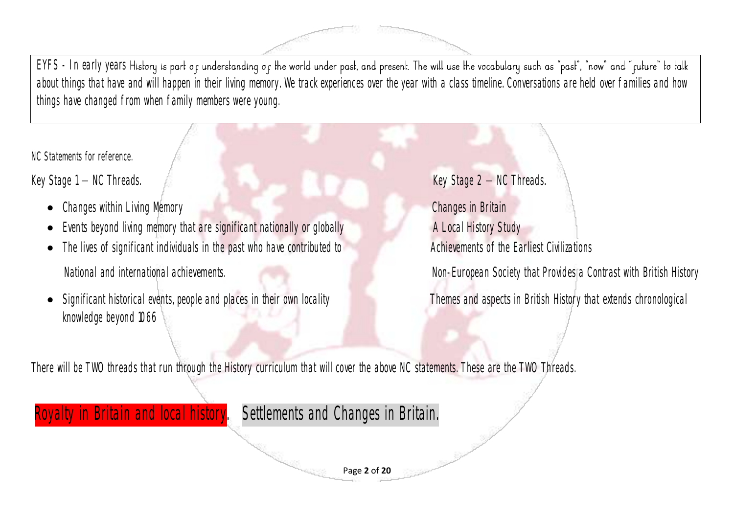EYFS - In early years History is part of understanding of the world under past, and present. The will use the vocabulary such as "past", "now" and "future" to talk about things that have and will happen in their living memory. We track experiences over the year with a class timeline. Conversations are held over families and how things have changed from when family members were young.

NC Statements for reference.

Key Stage 1 – NC Threads. Key Stage 2 – NC Threads.

- Changes within Living Memory Changes in Britain
- Events beyond living memory that are significant nationally or globally **A Local History Study**
- The lives of significant individuals in the past who have contributed to **Achievements of the Earliest Civilizations** National and international achievements. Non-European Society that Provides a Contrast with British History
- Significant historical events, people and places in their own locality Themes and aspects in British History that extends chronological knowledge beyond 1066

There will be TWO threads that run through the History curriculum that will cover the above NC statements. These are the TWO Threads.

## oyalty in Britain and local history. Settlements and Changes in Britain.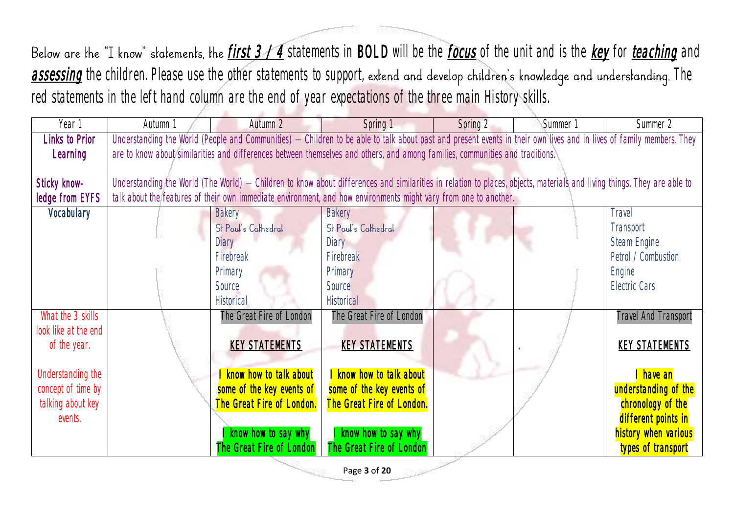red statements in the left hand column are the end of year expectations of the three main History skills.

| Year 1               | Autumn 1 | Autumn 2                                                                                                                                                                | Spring 1                  | Spring 2 | Summer 1 | Summer 2                    |
|----------------------|----------|-------------------------------------------------------------------------------------------------------------------------------------------------------------------------|---------------------------|----------|----------|-----------------------------|
| Links to Prior       |          | Understanding the World (People and Communities) - Children to be able to talk about past and present events in their own lives and in lives of family members. They    |                           |          |          |                             |
| Learning             |          | are to know about similarities and differences between themselves and others, and among families, communities and traditions.                                           |                           |          |          |                             |
|                      |          |                                                                                                                                                                         |                           |          |          |                             |
| Sticky know-         |          | Understanding the World (The World) - Children to know about differences and similarities in relation to places, objects, materials and living things. They are able to |                           |          |          |                             |
| ledge from EYFS      |          | talk about the features of their own immediate environment, and how environments might vary from one to another.                                                        |                           |          |          |                             |
| Vocabulary           |          | <b>Bakery</b>                                                                                                                                                           | <b>Bakery</b>             |          |          | <b>Travel</b>               |
|                      |          | St Paul's Cathedral                                                                                                                                                     | St Paul's Cathedral       |          |          | Transport                   |
|                      |          | Diary                                                                                                                                                                   | Diary                     |          |          | Steam Engine                |
|                      |          | Firebreak                                                                                                                                                               | Firebreak                 |          |          | Petrol / Combustion         |
|                      |          | Primary                                                                                                                                                                 | Primary                   |          |          | Engine                      |
|                      |          | Source                                                                                                                                                                  | Source                    |          |          | Electric Cars               |
|                      |          | <b>Historical</b>                                                                                                                                                       | <b>Historical</b>         |          |          |                             |
| What the 3 skills    |          | The Great Fire of London                                                                                                                                                | The Great Fire of London  |          |          | <b>Travel And Transport</b> |
| look like at the end |          |                                                                                                                                                                         |                           |          |          |                             |
| of the year.         |          | <b>KEY STATEMENTS</b>                                                                                                                                                   | <b>KEY STATEMENTS</b>     |          |          | <b>KEY STATEMENTS</b>       |
|                      |          |                                                                                                                                                                         |                           |          |          |                             |
| Understanding the    |          | know how to talk about                                                                                                                                                  | I know how to talk about  |          |          | I have an                   |
| concept of time by   |          | some of the key events of                                                                                                                                               | some of the key events of |          |          | understanding of the        |
| talking about key    |          | The Great Fire of London.                                                                                                                                               | The Great Fire of London. |          |          | chronology of the           |
| events.              |          |                                                                                                                                                                         |                           |          |          | different points in         |
|                      |          | know how to say why                                                                                                                                                     | I know how to say why     |          |          | history when various        |
|                      |          | The Great Fire of London                                                                                                                                                | The Great Fire of London  |          |          | types of transport          |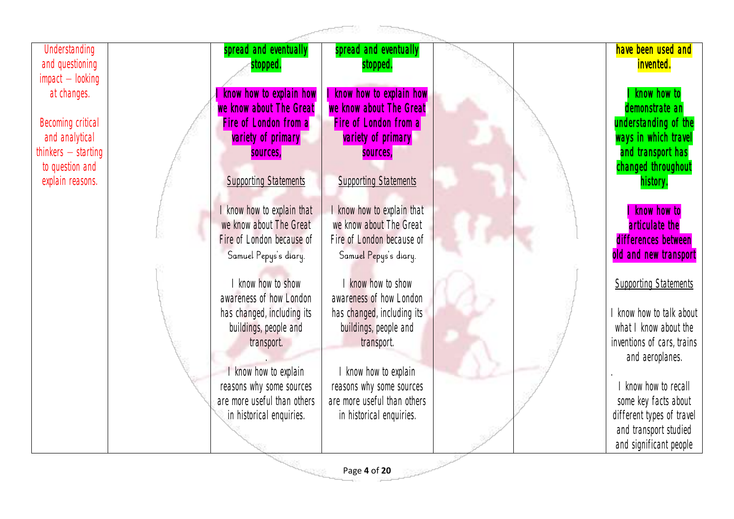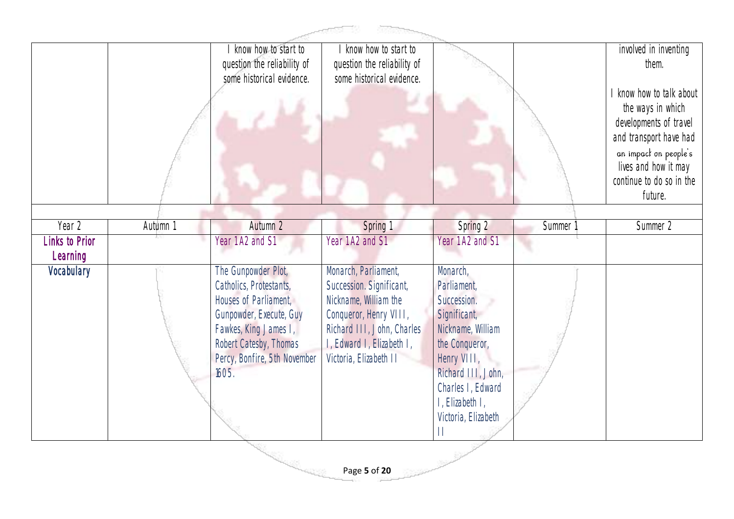|                            | know how to start to<br>question the reliability of | know how to start to<br>question the reliability of |                                        |          | involved in inventing<br>them.              |
|----------------------------|-----------------------------------------------------|-----------------------------------------------------|----------------------------------------|----------|---------------------------------------------|
|                            | some historical evidence.                           | some historical evidence.                           |                                        |          |                                             |
|                            |                                                     |                                                     |                                        |          | I know how to talk about                    |
|                            |                                                     |                                                     |                                        |          | the ways in which<br>developments of travel |
|                            |                                                     |                                                     |                                        |          | and transport have had                      |
|                            |                                                     |                                                     |                                        |          | an impact on people's                       |
|                            |                                                     |                                                     |                                        |          | lives and how it may                        |
|                            |                                                     |                                                     |                                        |          | continue to do so in the<br>future.         |
|                            |                                                     |                                                     |                                        |          |                                             |
| Year 2<br>Autumn 1         | Autumn 2                                            | Spring 1                                            | Spring 2                               | Summer 1 | Summer 2                                    |
| Links to Prior<br>Learning | Year 1 A2 and S1                                    | Year 1 A2 and S1                                    | Year 1 A2 and S1                       |          |                                             |
| Vocabulary                 | The Gunpowder Plot,                                 | Monarch, Parliament,                                | Monarch,                               |          |                                             |
|                            | Catholics, Protestants,<br>Houses of Parliament,    | Succession. Significant,<br>Nickname, William the   | Parliament,<br>Succession.             |          |                                             |
|                            | Gunpowder, Execute, Guy                             | Conqueror, Henry VIII,                              | Significant,                           |          |                                             |
|                            | Fawkes, King James I,                               | Richard III, John, Charles                          | Nickname, William                      |          |                                             |
|                            |                                                     | I, Edward I, Elizabeth I,                           | the Conqueror,                         |          |                                             |
|                            | Robert Catesby, Thomas                              |                                                     |                                        |          |                                             |
|                            | Percy, Bonfire, 5th November                        | Victoria, Elizabeth II                              | Henry VIII,                            |          |                                             |
|                            | 1605.                                               |                                                     | Richard III, John,                     |          |                                             |
|                            |                                                     |                                                     | Charles I, Edward                      |          |                                             |
|                            |                                                     |                                                     | I, Elizabeth I,<br>Victoria, Elizabeth |          |                                             |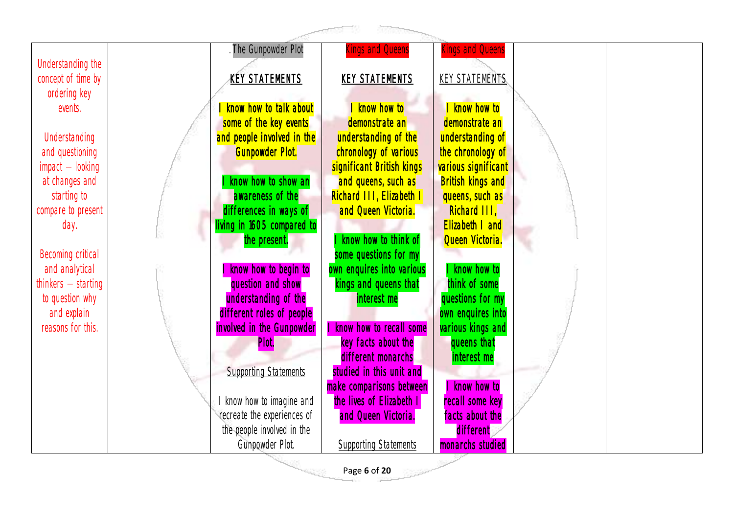|                                  |                                    | <b>ROSSER</b>                             |                            |  |
|----------------------------------|------------------------------------|-------------------------------------------|----------------------------|--|
|                                  | The Gunpowder Plot                 | ings and Queens                           | ings and Queens            |  |
| Understanding the                |                                    |                                           |                            |  |
| concept of time by               | <b>KEY STATEMENTS</b>              | <b>KEY STATEMENTS</b>                     | <b>KEY STATEMENTS</b>      |  |
| ordering key                     |                                    |                                           |                            |  |
| events.                          | know how to talk about             | I know how to                             | I know how to              |  |
|                                  | some of the key events             | demonstrate an                            | demonstrate an             |  |
| Understanding                    | and people involved in the         | understanding of the                      | understanding of           |  |
| and questioning                  | <b>Gunpowder Plot.</b>             | chronology of various                     | the chronology of          |  |
| $impact - looking$               |                                    | significant British kings                 | various significant        |  |
| at changes and                   | know how to show an                | and queens, such as                       | <b>British kings and</b>   |  |
| starting to                      | awareness of the                   | Richard III, Elizabeth I                  | queens, such as            |  |
| compare to present               | differences in ways of             | and Queen Victoria.                       | Richard III,               |  |
| day.                             | living in 1605 compared to         |                                           | Elizabeth I and            |  |
|                                  | the present.                       | know how to think of                      | Queen Victoria.            |  |
| Becoming critical                |                                    | some questions for my                     |                            |  |
| and analytical                   | know how to begin to               | own enquires into various                 | I know how to              |  |
| thinkers $-$ starting            | question and show                  | kings and queens that                     | think of some              |  |
| to question why                  | understanding of the               | interest me                               | questions for my           |  |
| and explain<br>reasons for this. | different roles of people          | know how to recall some                   | own enquires into          |  |
|                                  | involved in the Gunpowder<br>Plot. |                                           | various kings and          |  |
|                                  |                                    | key facts about the<br>different monarchs | queens that<br>interest me |  |
|                                  | <b>Supporting Statements</b>       | studied in this unit and                  |                            |  |
|                                  |                                    | make comparisons between                  | know how to                |  |
|                                  | know how to imagine and            | the lives of Elizabeth                    | recall some key            |  |
|                                  | recreate the experiences of        | and Queen Victoria.                       | facts about the            |  |
|                                  | the people involved in the         |                                           | different                  |  |
|                                  | Gunpowder Plot.                    | <b>Supporting Statements</b>              | monarchs studied           |  |

Page **6** of **20**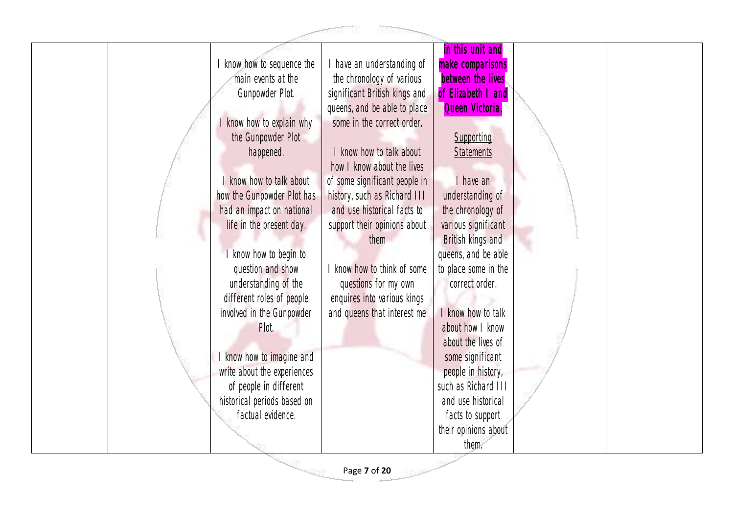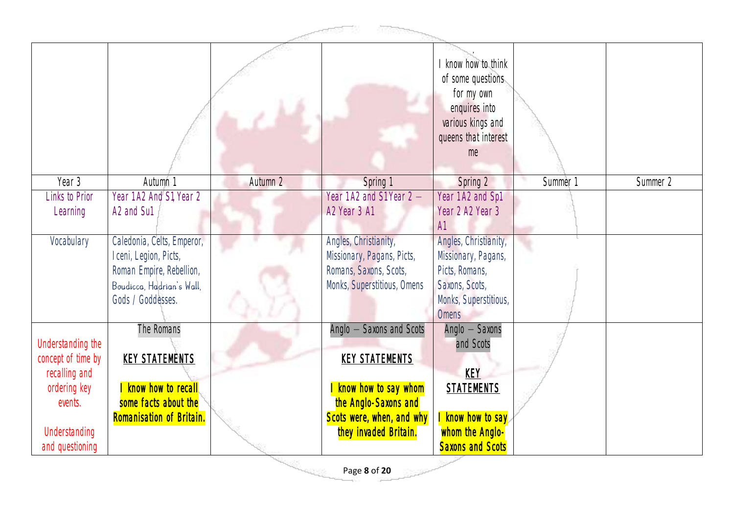|                                                                                                                         |                                                                                                                                   |          |                                                                                                                                                           | I know how to think<br>of some questions<br>for my own<br>enquires into<br>various kings and<br>queens that interest<br>me        |          |          |  |  |
|-------------------------------------------------------------------------------------------------------------------------|-----------------------------------------------------------------------------------------------------------------------------------|----------|-----------------------------------------------------------------------------------------------------------------------------------------------------------|-----------------------------------------------------------------------------------------------------------------------------------|----------|----------|--|--|
| Year 3                                                                                                                  | Autumn 1                                                                                                                          | Autumn 2 | Spring 1                                                                                                                                                  | Spring 2                                                                                                                          | Summer 1 | Summer 2 |  |  |
| Links to Prior<br>Learning                                                                                              | Year 1 A2 And S1, Year 2<br>A2 and Su1                                                                                            |          | Year 1 A2 and S1 Year 2 -<br>A2 Year 3 A1                                                                                                                 | Year 1 A2 and Sp1<br>Year 2 A2 Year 3<br>AI                                                                                       |          |          |  |  |
| Vocabulary                                                                                                              | Caledonia, Celts, Emperor,<br>Iceni, Legion, Picts,<br>Roman Empire, Rebellion,<br>Boudicca, Hadrian's Wall,<br>Gods / Goddesses. |          | Angles, Christianity,<br>Missionary, Pagans, Picts,<br>Romans, Saxons, Scots,<br>Monks, Superstitious, Omens                                              | Angles, Christianity,<br>Missionary, Pagans,<br>Picts, Romans,<br>Saxons, Scots,<br>Monks, Superstitious,<br><b>Omens</b>         |          |          |  |  |
| Understanding the<br>concept of time by<br>recalling and<br>ordering key<br>events.<br>Understanding<br>and questioning | The Romans<br><b>KEY STATEMENTS</b><br>know how to recall<br>some facts about the<br>Romanisation of Britain.                     |          | Anglo - Saxons and Scots<br><b>KEY STATEMENTS</b><br>I know how to say whom<br>the Anglo-Saxons and<br>Scots were, when, and why<br>they invaded Britain. | Anglo - Saxons<br>and Scots<br><b>KEY</b><br><b>STATEMENTS</b><br>I know how to say<br>whom the Anglo-<br><b>Saxons and Scots</b> |          |          |  |  |
|                                                                                                                         |                                                                                                                                   |          | Page 8 of 20                                                                                                                                              |                                                                                                                                   |          |          |  |  |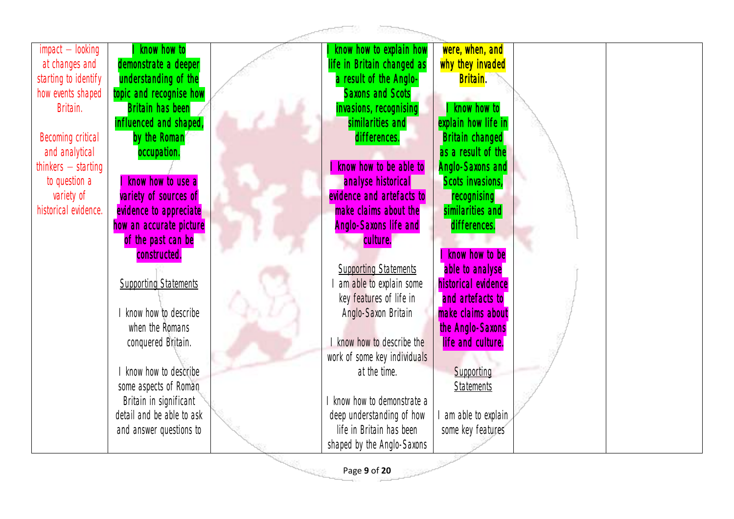| $impact - looking$    | know how to                  | know how to explain how      | were, when, and         |  |
|-----------------------|------------------------------|------------------------------|-------------------------|--|
| at changes and        | demonstrate a deeper         | life in Britain changed as   | why they invaded        |  |
| starting to identify  | understanding of the         | a result of the Anglo-       | Britain.                |  |
| how events shaped     | topic and recognise how      | <b>Saxons and Scots</b>      |                         |  |
| Britain.              | <b>Britain has been</b>      | invasions, recognising       | I know how to           |  |
|                       | influenced and shaped,       | similarities and             | explain how life in     |  |
| Becoming critical     | by the Roman                 | differences.                 | <b>Britain changed</b>  |  |
| and analytical        | occupation.                  |                              | as a result of the      |  |
| thinkers $-$ starting |                              | know how to be able to       | <b>Anglo-Saxons and</b> |  |
| to question a         | know how to use a            | analyse historical           | Scots invasions,        |  |
| variety of            | variety of sources of        | evidence and artefacts to    | recognising             |  |
| historical evidence.  | evidence to appreciate       | make claims about the        | similarities and        |  |
|                       | how an accurate picture      | <b>Anglo-Saxons life and</b> | differences.            |  |
|                       | of the past can be           | culture.                     |                         |  |
|                       | constructed.                 |                              | know how to be          |  |
|                       |                              | <b>Supporting Statements</b> | able to analyse         |  |
|                       | <b>Supporting Statements</b> | am able to explain some      | historical evidence     |  |
|                       |                              | key features of life in      | and artefacts to        |  |
|                       | know how to describe         | Anglo-Saxon Britain          | make claims about       |  |
|                       | when the Romans              |                              | the Anglo-Saxons        |  |
|                       | conquered Britain.           | I know how to describe the   | life and culture.       |  |
|                       |                              | work of some key individuals |                         |  |
|                       | I know how to describe       | at the time.                 | Supporting              |  |
|                       | some aspects of Roman        |                              | <b>Statements</b>       |  |
|                       | Britain in significant       | I know how to demonstrate a  |                         |  |
|                       | detail and be able to ask    | deep understanding of how    | am able to explain      |  |
|                       | and answer questions to      | life in Britain has been     | some key features       |  |
|                       |                              | shaped by the Anglo-Saxons   |                         |  |

Page **9** of **20**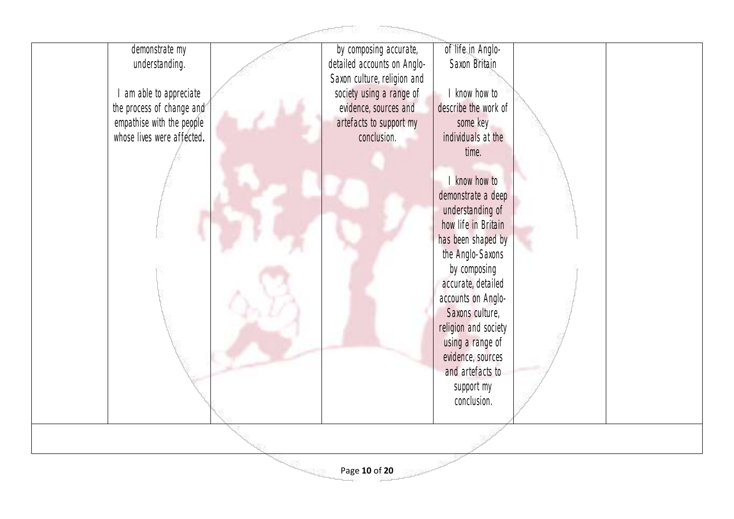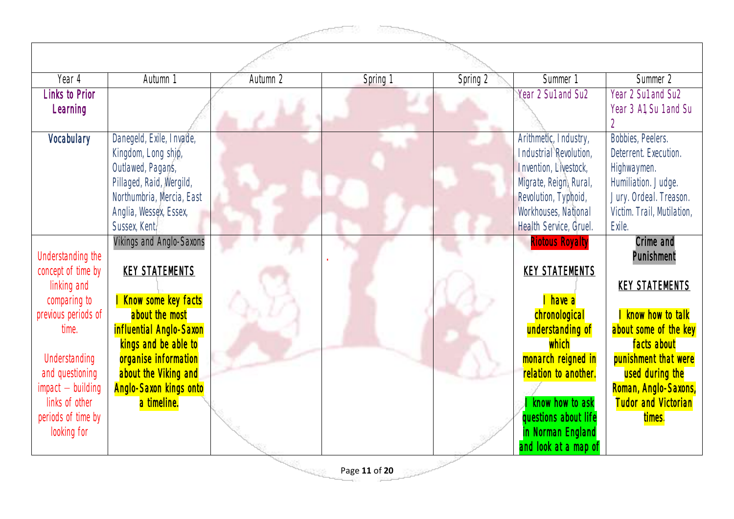|                                                                                                                                                                                                                          |                                                                                                                                                                                                                                               |          | <b>SOSSNOW</b> |          |                                                                                                                                                                                                                                                 |                                                                                                                                                                                                                                        |
|--------------------------------------------------------------------------------------------------------------------------------------------------------------------------------------------------------------------------|-----------------------------------------------------------------------------------------------------------------------------------------------------------------------------------------------------------------------------------------------|----------|----------------|----------|-------------------------------------------------------------------------------------------------------------------------------------------------------------------------------------------------------------------------------------------------|----------------------------------------------------------------------------------------------------------------------------------------------------------------------------------------------------------------------------------------|
|                                                                                                                                                                                                                          |                                                                                                                                                                                                                                               |          |                |          |                                                                                                                                                                                                                                                 |                                                                                                                                                                                                                                        |
| Year 4                                                                                                                                                                                                                   | Autumn 1                                                                                                                                                                                                                                      | Autumn 2 | Spring 1       | Spring 2 | Summer 1                                                                                                                                                                                                                                        | Summer 2                                                                                                                                                                                                                               |
| <b>Links to Prior</b><br>Learning                                                                                                                                                                                        |                                                                                                                                                                                                                                               |          |                |          | Year 2 Su1 and Su2                                                                                                                                                                                                                              | Year 2 Sul and Su2<br>Year 3 Al, Su 1 and Su                                                                                                                                                                                           |
| Vocabulary                                                                                                                                                                                                               | Danegeld, Exile, Invade,<br>Kingdom, Long ship,<br>Outlawed, Pagans,<br>Pillaged, Raid, Wergild,<br>Northumbria, Mercia, East<br>Anglia, Wessex, Essex,<br>Sussex, Kent.                                                                      |          |                |          | Arithmetic, Industry,<br>Industrial Revolution,<br>Invention, Livestock,<br>Migrate, Reign, Rural,<br>Revolution, Typhoid,<br>Workhouses, National<br>Health Service, Gruel.                                                                    | Bobbies, Peelers.<br>Deterrent. Execution.<br>Highwaymen.<br>Humiliation. Judge.<br>Jury. Ordeal. Treason.<br>Victim. Trail, Mutilation,<br>Exile.                                                                                     |
| Understanding the<br>concept of time by<br>linking and<br>comparing to<br>previous periods of<br>time.<br>Understanding<br>and questioning<br>$impact - building$<br>links of other<br>periods of time by<br>looking for | Vikings and Anglo-Saxons<br><b>KEY STATEMENTS</b><br>Know some key facts<br>about the most<br>influential Anglo-Saxon<br>kings and be able to<br>organise information<br>about the Viking and<br><b>Anglo-Saxon kings onto</b><br>a timeline. |          |                |          | <b>Riotous Royalty</b><br><b>KEY STATEMENTS</b><br>I have a<br>chronological<br>understanding of<br>which<br>monarch reigned in<br>relation to another.<br>know how to ask<br>questions about life<br>in Norman England<br>and look at a map of | Crime and<br>Punishment<br><b>KEY STATEMENTS</b><br>I know how to talk<br>about some of the key<br>facts about<br>punishment that were<br>used during the<br>Roman, Anglo-Saxons,<br><b>Tudor and Victorian</b><br><mark>times.</mark> |
|                                                                                                                                                                                                                          |                                                                                                                                                                                                                                               |          | Page 11 of 20  |          |                                                                                                                                                                                                                                                 |                                                                                                                                                                                                                                        |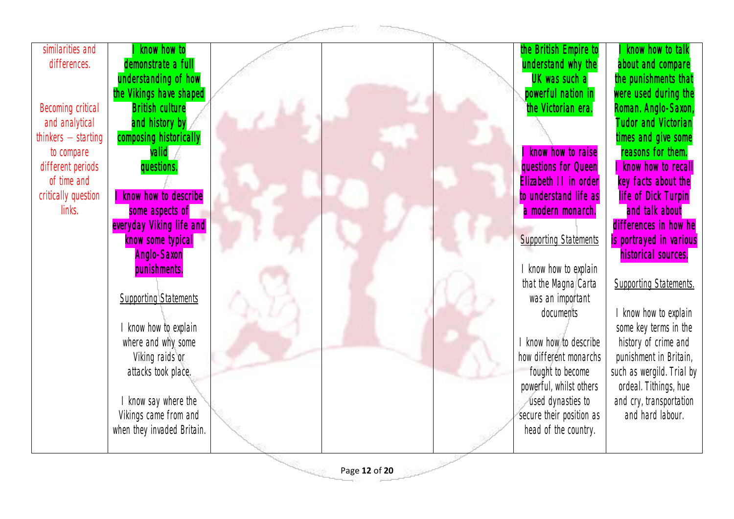| similarities and      | know how to                  |               | the British Empire to        | know how to talk              |
|-----------------------|------------------------------|---------------|------------------------------|-------------------------------|
| differences.          | demonstrate a full           |               | understand why the           | about and compare             |
|                       | understanding of how         |               | UK was such a                | the punishments that          |
|                       | the Vikings have shaped      |               | powerful nation in           | were used during the          |
| Becoming critical     | <b>British culture</b>       |               | the Victorian era.           | Roman. Anglo-Saxon,           |
| and analytical        | and history by               |               |                              | <b>Tudor and Victorian</b>    |
| thinkers $-$ starting | composing historically       |               |                              | times and give some           |
| to compare            | valid                        |               | know how to raise            | reasons for them.             |
| different periods     | questions.                   |               | questions for Queen          | know how to recall            |
| of time and           |                              |               | Elizabeth II in order        | key facts about the           |
| critically question   | know how to describe         |               | to understand life as        | <b>life of Dick Turpin</b>    |
| links.                | some aspects of              |               | a modern monarch.            | and talk about                |
|                       | everyday Viking life and     |               |                              | differences in how he         |
|                       | know some typical            |               | <b>Supporting Statements</b> | is portrayed in various       |
|                       | <b>Anglo-Saxon</b>           |               |                              | historical sources.           |
|                       | punishments.                 |               | know how to explain          |                               |
|                       |                              |               | that the Magna Carta         | <b>Supporting Statements.</b> |
|                       | <b>Supporting Statements</b> |               | was an important             |                               |
|                       |                              |               | documents                    | I know how to explain         |
|                       | I know how to explain        |               |                              | some key terms in the         |
|                       | where and why some           |               | I know how to describe       | history of crime and          |
|                       | Viking raids or              |               | how different monarchs       | punishment in Britain,        |
|                       | attacks took place.          |               | fought to become             | such as wergild. Trial by     |
|                       |                              |               | powerful, whilst others      | ordeal. Tithings, hue         |
|                       | I know say where the         |               | used dynasties to            | and cry, transportation       |
|                       | Vikings came from and        |               | secure their position as     | and hard labour.              |
|                       | when they invaded Britain.   |               | head of the country.         |                               |
|                       |                              |               |                              |                               |
|                       |                              |               |                              |                               |
|                       |                              | Page 12 of 20 |                              |                               |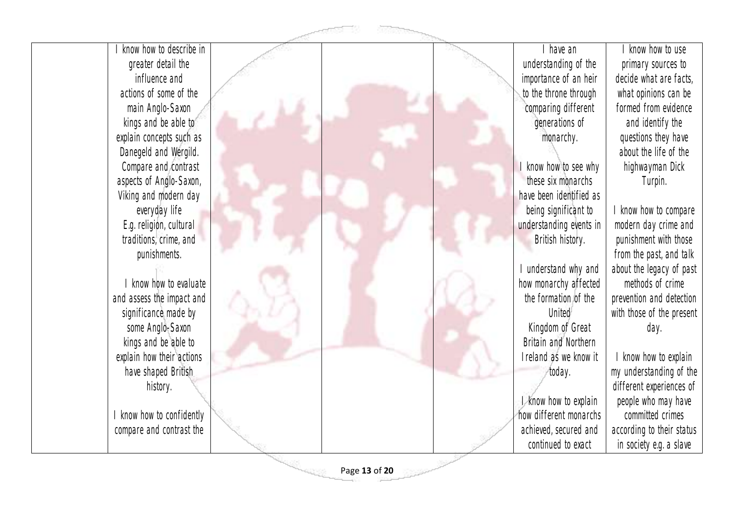| know how to describe in   |               | I have an               |
|---------------------------|---------------|-------------------------|
| greater detail the        |               | understanding of the    |
| influence and             |               | importance of an heir   |
| actions of some of the    |               | to the throne through   |
| main Anglo-Saxon          |               | comparing different     |
| kings and be able to      |               | generations of          |
| explain concepts such as  |               | monarchy.               |
| Danegeld and Wergild.     |               |                         |
| Compare and contrast      |               | I know how to see why   |
| aspects of Anglo-Saxon,   |               | these six monarchs      |
| Viking and modern day     |               | have been identified as |
| everyday life             |               | being significant to    |
| E.g. religion, cultural   |               | understanding events in |
| traditions, crime, and    |               | British history.        |
| punishments.              |               |                         |
|                           |               | I understand why and    |
| I know how to evaluate    |               | how monarchy affected   |
| and assess the impact and |               | the formation of the    |
| significance made by      |               | United                  |
| some Anglo-Saxon          |               | Kingdom of Great        |
| kings and be able to      |               | Britain and Northern    |
| explain how their actions |               | Ireland as we know it   |
| have shaped British       |               | today.                  |
| history.                  |               |                         |
|                           |               | I know how to explain   |
| I know how to confidently |               | how different monarchs  |
| compare and contrast the  |               | achieved, secured and   |
|                           |               | continued to exact      |
|                           |               |                         |
|                           | Page 13 of 20 |                         |

I know how to use primary sources to decide what are facts, what opinions can be formed from evidence and identify the questions they have about the life of the highwayman Dick Turpin. I know how to compare modern day crime and punishment with those

from the past, and talk about the legacy of past methods of crime prevention and detection with those of the present day.

I know how to explain my understanding of the different experiences of people who may have committed crimes according to their status in society e.g. a slave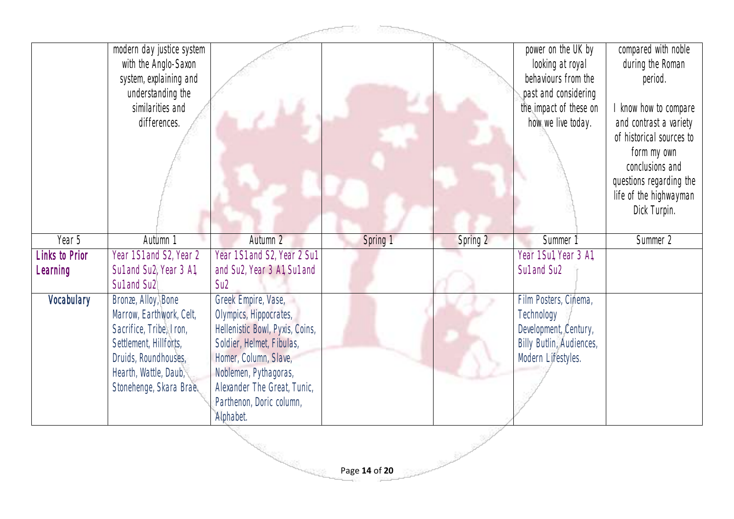|                       | modern day justice system<br>with the Anglo-Saxon<br>system, explaining and<br>understanding the<br>similarities and<br>differences.                                             |                                                                                                                                                                                                                                         |          |          | power on the UK by<br>looking at royal<br>behaviours from the<br>past and considering<br>the impact of these on<br>how we live today. | compared with noble<br>during the Roman<br>period.<br>I know how to compare<br>and contrast a variety<br>of historical sources to<br>form my own<br>conclusions and |
|-----------------------|----------------------------------------------------------------------------------------------------------------------------------------------------------------------------------|-----------------------------------------------------------------------------------------------------------------------------------------------------------------------------------------------------------------------------------------|----------|----------|---------------------------------------------------------------------------------------------------------------------------------------|---------------------------------------------------------------------------------------------------------------------------------------------------------------------|
|                       |                                                                                                                                                                                  |                                                                                                                                                                                                                                         |          |          |                                                                                                                                       | questions regarding the<br>life of the highwayman<br>Dick Turpin.                                                                                                   |
| Year 5                | Autumn 1                                                                                                                                                                         | Autumn 2                                                                                                                                                                                                                                | Spring 1 | Spring 2 | Summer 1                                                                                                                              | Summer 2                                                                                                                                                            |
| <b>Links to Prior</b> | Year 1 S1 and S2, Year 2                                                                                                                                                         | Year 1 S1 and S2, Year 2 Sul                                                                                                                                                                                                            |          |          | Year 1 Sul, Year 3 Al,                                                                                                                |                                                                                                                                                                     |
| Learning              | Sul and Su2, Year 3 Al,<br>Sul and Su <sub>2</sub>                                                                                                                               | and Su2, Year 3 A1, Su1 and<br>S <sub>U</sub> 2                                                                                                                                                                                         |          |          | Sul and Su <sub>2</sub>                                                                                                               |                                                                                                                                                                     |
| Vocabulary            | Bronze, Alloy, Bone<br>Marrow, Earthwork, Celt,<br>Sacrifice, Tribe, Iron,<br>Settlement, Hillforts,<br>Druids, Roundhouses,<br>Hearth, Wattle, Daub,<br>Stonehenge, Skara Brae. | Greek Empire, Vase,<br>Olympics, Hippocrates,<br>Hellenistic Bowl, Pyxis, Coins,<br>Soldier, Helmet, Fibulas,<br>Homer, Column, Slave,<br>Noblemen, Pythagoras,<br>Alexander The Great, Tunic,<br>Parthenon, Doric column,<br>Alphabet. |          |          | Film Posters, Cinema,<br>Technology<br>Development, Century,<br>Billy Butlin, Audiences,<br>Modern Lifestyles.                        |                                                                                                                                                                     |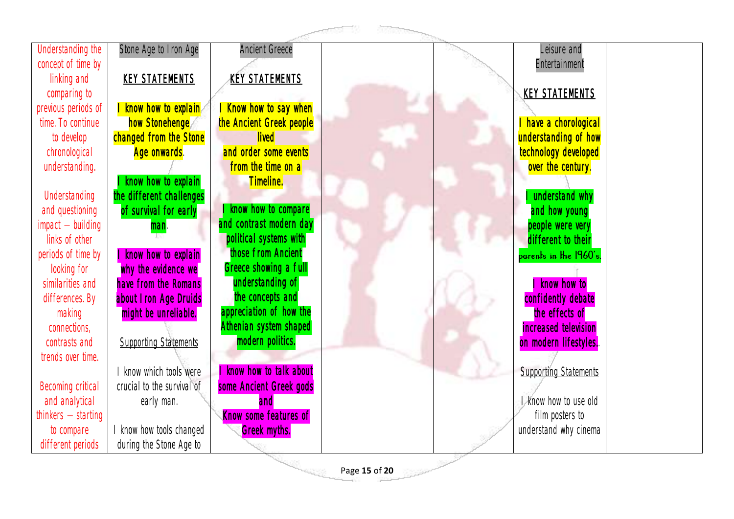| Understanding the     | Stone Age to Iron Age        | <b>Ancient Greece</b>    |               | Leisure and                  |
|-----------------------|------------------------------|--------------------------|---------------|------------------------------|
| concept of time by    |                              |                          |               | Entertainment                |
| linking and           | <b>KEY STATEMENTS</b>        | <b>KEY STATEMENTS</b>    |               |                              |
| comparing to          |                              |                          |               | <b>KEY STATEMENTS</b>        |
| previous periods of   | I know how to explain        | Know how to say when     |               |                              |
| time. To continue     | how Stonehenge               | the Ancient Greek people |               | have a chorological          |
| to develop            | changed from the Stone       | <b>lived</b>             |               | understanding of how         |
| chronological         | Age onwards.                 | and order some events    |               | technology developed         |
| understanding.        |                              | from the time on a       |               | over the century.            |
|                       | know how to explain          | Timeline.                |               |                              |
| Understanding         | the different challenges     |                          |               | understand why               |
| and questioning       | of survival for early        | know how to compare      |               | and how young                |
| $impact - building$   | man.                         | and contrast modern day  |               | people were very             |
| links of other        |                              | political systems with   |               | different to their           |
| periods of time by    | know how to explain          | those from Ancient       |               | parents in the 1960's.       |
| looking for           | why the evidence we          | Greece showing a full    |               |                              |
| similarities and      | have from the Romans         | understanding of         |               | know how to                  |
| differences. By       | about Iron Age Druids        | the concepts and         |               | confidently debate           |
| making                | might be unreliable.         | appreciation of how the  |               | the effects of               |
| connections,          |                              | Athenian system shaped   |               | increased television         |
| contrasts and         | <b>Supporting Statements</b> | modern politics.         |               | on modern lifestyles.        |
| trends over time.     |                              |                          |               |                              |
|                       | know which tools were        | know how to talk about   |               | <b>Supporting Statements</b> |
| Becoming critical     | crucial to the survival of   | some Ancient Greek gods  |               |                              |
| and analytical        | early man.                   | and                      |               | I know how to use old        |
| $thinkers - starting$ |                              | Know some features of    |               | film posters to              |
| to compare            | I know how tools changed     | <b>Greek myths.</b>      |               | understand why cinema        |
| different periods     | during the Stone Age to      |                          |               |                              |
|                       |                              |                          | Page 15 of 20 |                              |
|                       |                              |                          |               |                              |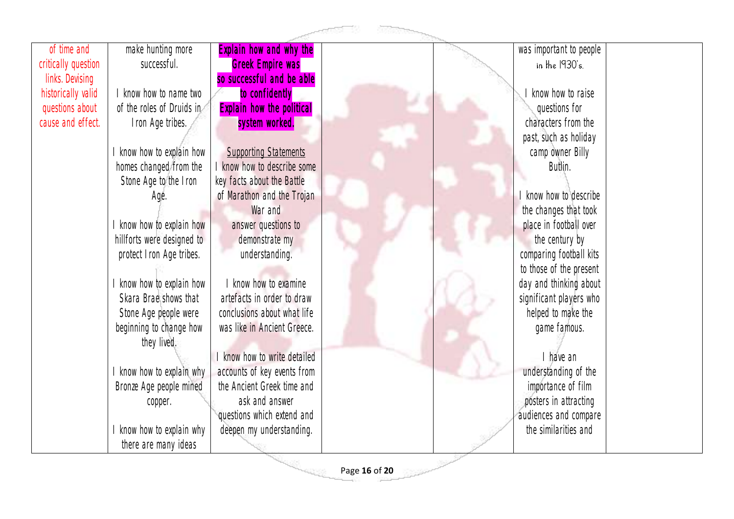

Page **16** of **20**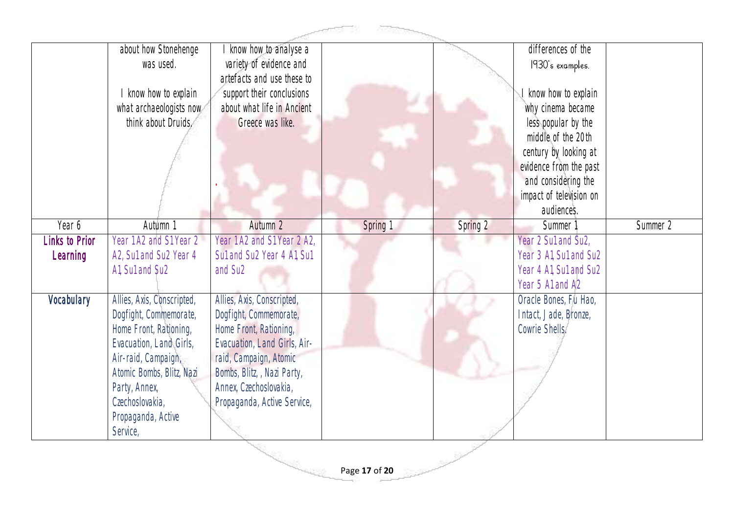|                            | about how Stonehenge<br>was used.<br>know how to explain<br>what archaeologists now<br>think about Druids.                                                                                                                          | know how to analyse a<br>variety of evidence and<br>artefacts and use these to<br>support their conclusions<br>about what life in Ancient<br>Greece was like.                                                                    |               |                                                 | differences of the<br>1930's examples.<br>know how to explain<br>why cinema became<br>less popular by the<br>middle of the 20th<br>century by looking at<br>evidence from the past<br>and considering the<br>impact of television on<br>audiences. |          |
|----------------------------|-------------------------------------------------------------------------------------------------------------------------------------------------------------------------------------------------------------------------------------|----------------------------------------------------------------------------------------------------------------------------------------------------------------------------------------------------------------------------------|---------------|-------------------------------------------------|----------------------------------------------------------------------------------------------------------------------------------------------------------------------------------------------------------------------------------------------------|----------|
| Year 6                     | Autumn 1                                                                                                                                                                                                                            | Autumn 2                                                                                                                                                                                                                         | Spring 1      | Spring 2                                        | Summer 1                                                                                                                                                                                                                                           | Summer 2 |
| Links to Prior<br>Learning | Year 1 A2 and S1 Year 2<br>A2, Sul and Su2 Year 4<br>Al, Sul and Su2                                                                                                                                                                | Year 1 A2 and S1 Year 2 A2,<br>Sul and Su2 Year 4 Al, Sul<br>and Su <sub>2</sub>                                                                                                                                                 |               |                                                 | Year 2 Su1 and Su2,<br>Year 3 A1, Su1 and Su2<br>Year 4 A1, Su1 and Su2<br>Year 5 A1 and A2                                                                                                                                                        |          |
| Vocabulary                 | Allies, Axis, Conscripted,<br>Dogfight, Commemorate,<br>Home Front, Rationing,<br>Evacuation, Land Girls,<br>Air-raid, Campaign,<br>Atomic Bombs, Blitz, Nazi<br>Party, Annex,<br>Czechoslovakia,<br>Propaganda, Active<br>Service, | Allies, Axis, Conscripted,<br>Dogfight, Commemorate,<br>Home Front, Rationing,<br>Evacuation, Land Girls, Air-<br>raid, Campaign, Atomic<br>Bombs, Blitz, , Nazi Party,<br>Annex, Czechoslovakia,<br>Propaganda, Active Service, |               |                                                 | Oracle Bones, Fu Hao,<br>Intact, Jade, Bronze,<br>Cowrie Shells.                                                                                                                                                                                   |          |
|                            |                                                                                                                                                                                                                                     | <b>REAL PROPERTY</b>                                                                                                                                                                                                             | Page 17 of 20 | $\mathbb{R}^{p \times \mathbb{R}^{p \times p}}$ |                                                                                                                                                                                                                                                    |          |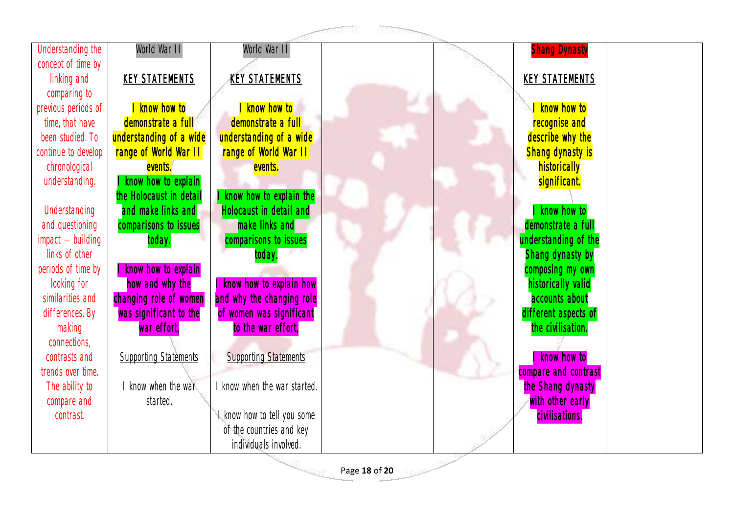|                     |                                              |                                                    | <b>References</b>                                                                                                                                                                    |                                   |
|---------------------|----------------------------------------------|----------------------------------------------------|--------------------------------------------------------------------------------------------------------------------------------------------------------------------------------------|-----------------------------------|
| Understanding the   | World War II                                 | World War II                                       |                                                                                                                                                                                      | <b>Shang Dynasty</b>              |
| concept of time by  |                                              |                                                    |                                                                                                                                                                                      |                                   |
| linking and         | <b>KEY STATEMENTS</b>                        | <b>KEY STATEMENTS</b>                              |                                                                                                                                                                                      | <b>KEY STATEMENTS</b>             |
| comparing to        |                                              |                                                    |                                                                                                                                                                                      |                                   |
| previous periods of | know how to                                  | know how to                                        |                                                                                                                                                                                      | know how to                       |
| time, that have     | demonstrate a full                           | demonstrate a full                                 |                                                                                                                                                                                      | recognise and                     |
| been studied. To    | understanding of a wide                      | understanding of a wide                            |                                                                                                                                                                                      | describe why the                  |
| continue to develop | range of World War II                        | range of World War II                              |                                                                                                                                                                                      | <b>Shang dynasty is</b>           |
| chronological       | events.                                      | events.                                            |                                                                                                                                                                                      | historically                      |
| understanding.      | know how to explain                          |                                                    |                                                                                                                                                                                      | significant.                      |
| Understanding       | he Holocaust in detail<br>and make links and | know how to explain the<br>Holocaust in detail and |                                                                                                                                                                                      |                                   |
| and questioning     | comparisons to issues                        | make links and                                     |                                                                                                                                                                                      | know how to<br>demonstrate a full |
| $impact - building$ | today.                                       | comparisons to issues                              |                                                                                                                                                                                      | understanding of the              |
| links of other      |                                              | today.                                             |                                                                                                                                                                                      | Shang dynasty by                  |
| periods of time by  | know how to explain                          |                                                    |                                                                                                                                                                                      | composing my own                  |
| looking for         | how and why the                              | I know how to explain how                          |                                                                                                                                                                                      | historically valid                |
| similarities and    | changing role of women                       | and why the changing role                          |                                                                                                                                                                                      | accounts about                    |
| differences. By     | was significant to the                       | of women was significant                           |                                                                                                                                                                                      | different aspects of              |
| making              | war effort,                                  | to the war effort,                                 |                                                                                                                                                                                      | the civilisation.                 |
| connections,        |                                              |                                                    |                                                                                                                                                                                      |                                   |
| contrasts and       | <b>Supporting Statements</b>                 | <b>Supporting Statements</b>                       |                                                                                                                                                                                      | know how to                       |
| trends over time.   |                                              |                                                    |                                                                                                                                                                                      | compare and contrast              |
| The ability to      | know when the war                            | I know when the war started.                       |                                                                                                                                                                                      | the Shang dynasty                 |
| compare and         | started.                                     |                                                    |                                                                                                                                                                                      | with other early                  |
| contrast.           |                                              | I know how to tell you some                        |                                                                                                                                                                                      | civilisations.                    |
|                     |                                              | of the countries and key                           |                                                                                                                                                                                      |                                   |
|                     |                                              | individuals involved.                              |                                                                                                                                                                                      |                                   |
|                     |                                              | <b>TANK</b>                                        | $\frac{\partial \mathcal{D}^{\alpha \beta}}{\partial \mathcal{D}^{\alpha \beta}} = \frac{\partial \mathcal{D}^{\alpha \beta}}{\partial \mathcal{D}^{\alpha \beta}}$<br>Page 18 of 20 |                                   |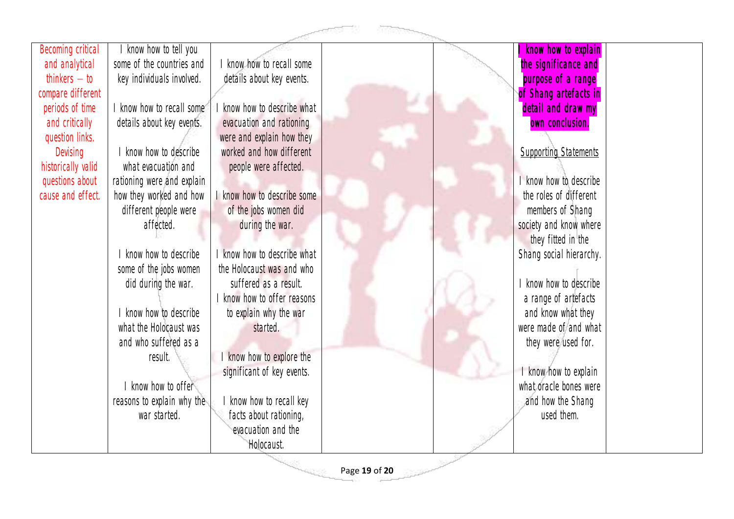|                    |                            |                             | agency. |                              |  |
|--------------------|----------------------------|-----------------------------|---------|------------------------------|--|
| Becoming critical  | know how to tell you       |                             |         | know how to explain          |  |
| and analytical     | some of the countries and  | know how to recall some     |         | the significance and         |  |
| thinkers $-$ to    | key individuals involved.  | details about key events.   |         | purpose of a range           |  |
| compare different  |                            |                             |         | of Shang artefacts in        |  |
| periods of time    | know how to recall some    | know how to describe what   |         | detail and draw my           |  |
| and critically     | details about key events.  | evacuation and rationing    |         | own conclusion.              |  |
| question links.    |                            | were and explain how they   |         |                              |  |
| Devising           | I know how to describe     | worked and how different    |         | <b>Supporting Statements</b> |  |
| historically valid | what evacuation and        | people were affected.       |         |                              |  |
| questions about    | rationing were and explain |                             |         | know how to describe         |  |
| cause and effect.  | how they worked and how    | know how to describe some   |         | the roles of different       |  |
|                    | different people were      | of the jobs women did       |         | members of Shang             |  |
|                    | affected.                  | during the war.             |         | society and know where       |  |
|                    |                            |                             |         | they fitted in the           |  |
|                    | I know how to describe     | know how to describe what   |         | Shang social hierarchy.      |  |
|                    | some of the jobs women     | the Holocaust was and who   |         |                              |  |
|                    | did during the war.        | suffered as a result.       |         | know how to describe         |  |
|                    |                            | I know how to offer reasons |         | a range of artefacts         |  |
|                    | I know how to describe     | to explain why the war      |         | and know what they           |  |
|                    | what the Holocaust was     | started.                    |         | were made of and what        |  |
|                    | and who suffered as a      |                             |         | they were used for.          |  |
|                    | result.                    | know how to explore the     |         |                              |  |
|                    |                            | significant of key events.  |         | I know how to explain        |  |
|                    | I know how to offer        |                             |         | what oracle bones were       |  |
|                    | reasons to explain why the | know how to recall key      |         | and how the Shang            |  |
|                    | war started.               | facts about rationing,      |         | used them.                   |  |
|                    |                            | evacuation and the          |         |                              |  |
|                    |                            | Holocaust.                  |         |                              |  |

Page **19** of **20**